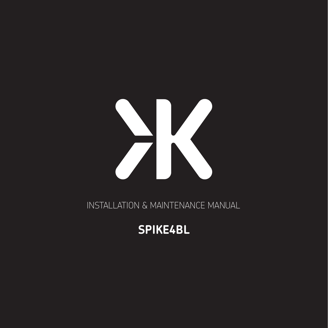

INSTALLATION & MAINTENANCE MANUAL

# **SPIKE4BL**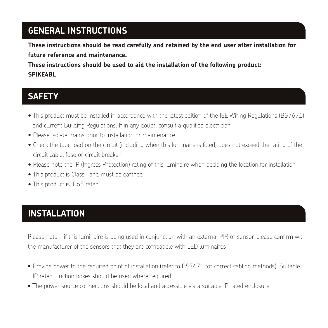## **GENERAL INSTRUCTIONS**

**These instructions should be read carefully and retained by the end user after installation for future reference and maintenance.**

**These instructions should be used to aid the installation of the following product: SPIKE4BL**

#### **SAFETY**

- This product must be installed in accordance with the latest edition of the IEE Wiring Regulations (BS7671) and current Building Regulations. If in any doubt, consult a qualified electrician
- Please isolate mains prior to installation or maintenance
- Check the total load on the circuit (including when this luminaire is fitted) does not exceed the rating of the circuit cable, fuse or circuit breaker
- Please note the IP (Ingress Protection) rating of this luminaire when deciding the location for installation
- This product is Class I and must be earthed
- This product is IP65 rated

# **INSTALLATION**

Please note - if this luminaire is being used in conjunction with an external PIR or sensor, please confirm with the manufacturer of the sensors that they are compatible with LED luminaires

- Provide power to the required point of installation (refer to BS7671 for correct cabling methods). Suitable IP rated junction boxes should be used where required
- The power source connections should be local and accessible via a suitable IP rated enclosure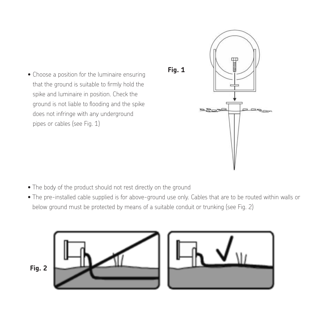



- The body of the product should not rest directly on the ground The body of the product should not rest directly on the ground
- The pre-installed cable supplied is for above-ground use only. Cables that are to be routed within walls or The pre-installed cable supplied is for above-ground use only. Cables that are to be routed within below ground must be protected by means of a suitable conduit or trunking (see Fig. 2)

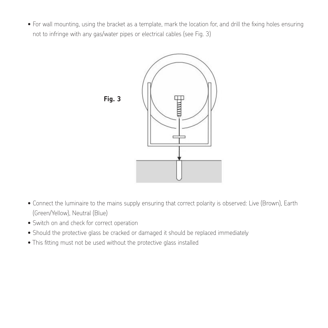• For wall mounting, using the bracket as a template, mark the location for, and drill the fixing holes ensuring on to infringe with any gas/water pipes or electrical cables (see Fig. 3) ensuring not to infringe with any gas / water pipes or electrical cables (see Fig. 3)



- Connect the luminaire to the mains supply ensuring that correct polarity is observed: Live (Brown), Earth Connect the luminaire to the mains supply ensuring that correct polarity is observed: Live (Brown), (Green/Yellow), Neutral (Blue)
- of the burn, the barract correct operation<br>• Switch on and check for correct operation
- Switch on and criect for correct operation<br>• Should the protective glass be cracked or damaged it should be replaced immediately id the protective glass be cracked or damaged it should be replaced immediately
- $\bullet$  This fitting must not be used without the protective glass installed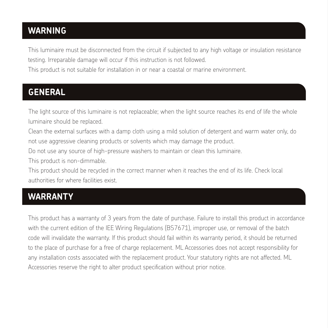#### **WARNING**

This luminaire must be disconnected from the circuit if subjected to any high voltage or insulation resistance testing. Irreparable damage will occur if this instruction is not followed.

This product is not suitable for installation in or near a coastal or marine environment.

## **GENERAL**

The light source of this luminaire is not replaceable; when the light source reaches its end of life the whole luminaire should be replaced.

Clean the external surfaces with a damp cloth using a mild solution of detergent and warm water only, do not use aggressive cleaning products or solvents which may damage the product.

Do not use any source of high-pressure washers to maintain or clean this luminaire.

This product is non-dimmable.

This product should be recycled in the correct manner when it reaches the end of its life. Check local authorities for where facilities exist.

## **WARRANTY**

This product has a warranty of 3 years from the date of purchase. Failure to install this product in accordance with the current edition of the IEE Wiring Regulations (BS7671), improper use, or removal of the batch code will invalidate the warranty. If this product should fail within its warranty period, it should be returned to the place of purchase for a free of charge replacement. ML Accessories does not accept responsibility for any installation costs associated with the replacement product. Your statutory rights are not affected. ML Accessories reserve the right to alter product specification without prior notice.